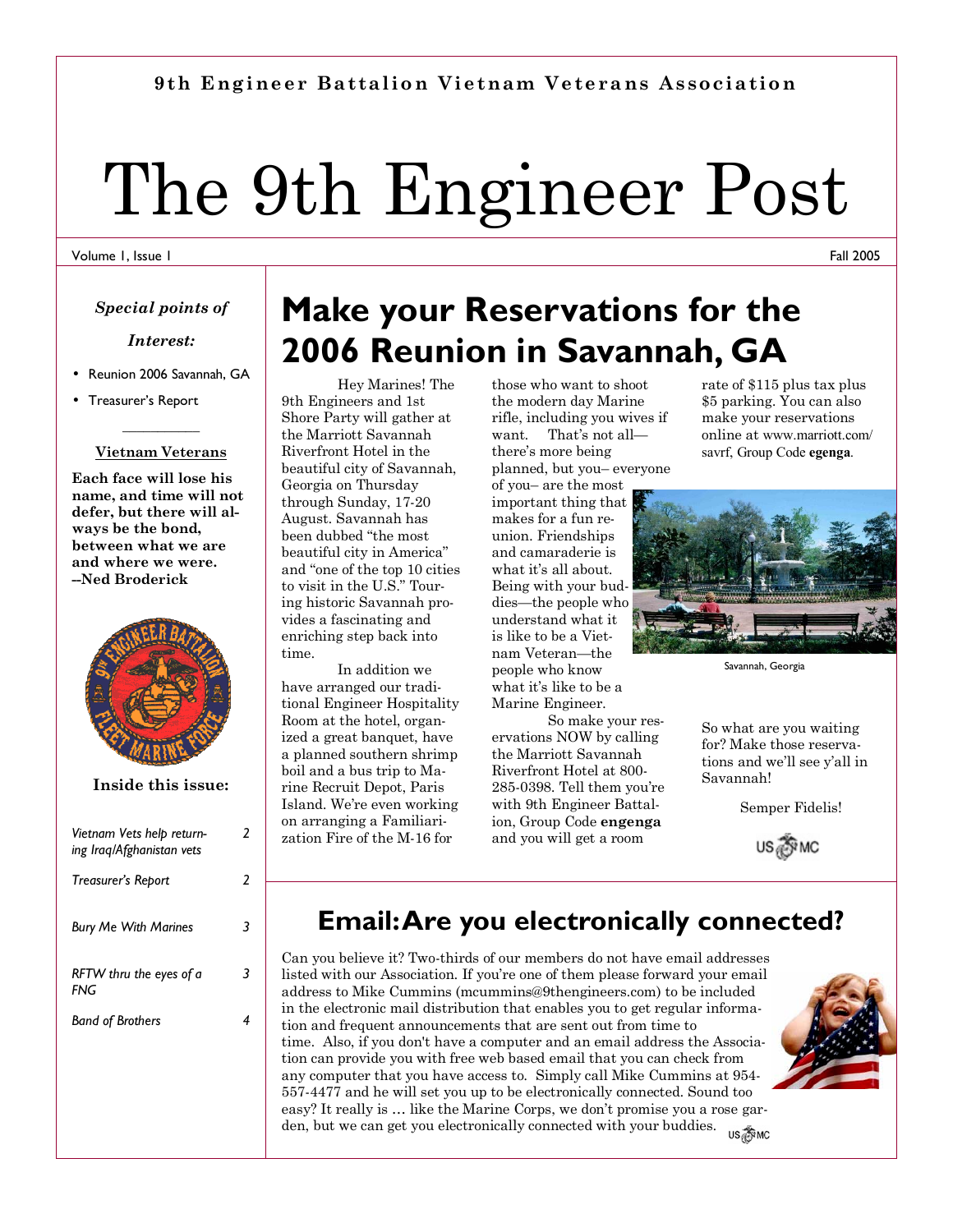### **9th Engineer Battalion Vietnam Veterans Association**

# The 9th Engineer Post

#### Volume 1, Issue 1

#### *Special points of*

#### *Interest:*

- Reunion 2006 Savannah, GA
- Treasurer's Report

### **\_\_\_\_\_\_\_\_\_\_\_ Vietnam Veterans**

**Each face will lose his name, and time will not defer, but there will always be the bond, between what we are and where we were. --Ned Broderick** 



**Inside this issue:** 

| Vietnam Vets help return-<br>ing Iraq/Afghanistan vets | 2 |
|--------------------------------------------------------|---|
| Treasurer's Report                                     | 2 |
| <b>Bury Me With Marines</b>                            |   |
| RFTW thru the eyes of a<br><b>FNG</b>                  |   |
| <b>Band of Brothers</b>                                |   |
|                                                        |   |

## **Make your Reservations for the 2006 Reunion in Savannah, GA**

Hey Marines! The 9th Engineers and 1st Shore Party will gather at the Marriott Savannah Riverfront Hotel in the beautiful city of Savannah, Georgia on Thursday through Sunday, 17-20 August. Savannah has been dubbed "the most beautiful city in America" and "one of the top 10 cities to visit in the U.S." Touring historic Savannah provides a fascinating and enriching step back into time.

 In addition we have arranged our traditional Engineer Hospitality Room at the hotel, organized a great banquet, have a planned southern shrimp boil and a bus trip to Marine Recruit Depot, Paris Island. Weíre even working on arranging a Familiarization Fire of the M-16 for

those who want to shoot the modern day Marine rifle, including you wives if want. That's not allthere's more being planned, but you- everyone

of you- are the most important thing that makes for a fun reunion. Friendships and camaraderie is what it's all about. Being with your buddies—the people who understand what it is like to be a Vietnam Veteran-the people who know what it's like to be a Marine Engineer.

 So make your reservations NOW by calling the Marriott Savannah Riverfront Hotel at 800- 285-0398. Tell them youíre with 9th Engineer Battalion, Group Code **engenga** and you will get a room

rate of \$115 plus tax plus \$5 parking. You can also make your reservations online at www.marriott.com/ savrf, Group Code **egenga**.



Savannah, Georgia

So what are you waiting for? Make those reservations and we'll see y'all in Savannah!

Semper Fidelis!

US FINC

### **Email: Are you electronically connected?**

Can you believe it? Two-thirds of our members do not have email addresses listed with our Association. If youíre one of them please forward your email address to Mike Cummins (mcummins@9thengineers.com) to be included in the electronic mail distribution that enables you to get regular information and frequent announcements that are sent out from time to time. Also, if you don't have a computer and an email address the Association can provide you with free web based email that you can check from any computer that you have access to. Simply call Mike Cummins at 954- 557-4477 and he will set you up to be electronically connected. Sound too easy? It really is  $\ldots$  like the Marine Corps, we don't promise you a rose garden, but we can get you electronically connected with your buddies. US TIMC



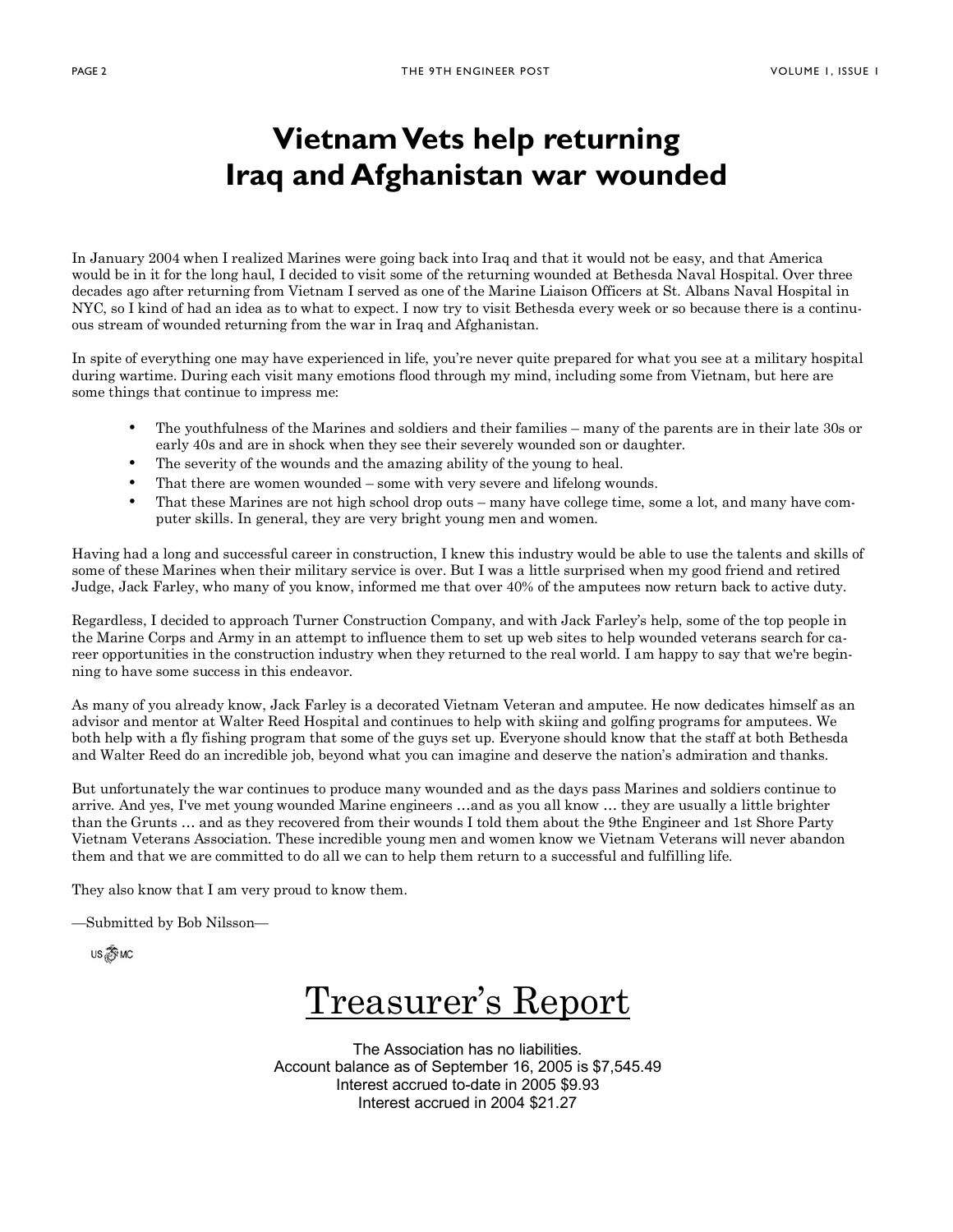### **Vietnam Vets help returning Iraq and Afghanistan war wounded**

In January 2004 when I realized Marines were going back into Iraq and that it would not be easy, and that America would be in it for the long haul, I decided to visit some of the returning wounded at Bethesda Naval Hospital. Over three decades ago after returning from Vietnam I served as one of the Marine Liaison Officers at St. Albans Naval Hospital in NYC, so I kind of had an idea as to what to expect. I now try to visit Bethesda every week or so because there is a continuous stream of wounded returning from the war in Iraq and Afghanistan.

In spite of everything one may have experienced in life, you're never quite prepared for what you see at a military hospital during wartime. During each visit many emotions flood through my mind, including some from Vietnam, but here are some things that continue to impress me:

- The youthfulness of the Marines and soldiers and their families many of the parents are in their late 30s or early 40s and are in shock when they see their severely wounded son or daughter.
- The severity of the wounds and the amazing ability of the young to heal.
- That there are women wounded  $-$  some with very severe and lifelong wounds.
- That these Marines are not high school drop outs many have college time, some a lot, and many have computer skills. In general, they are very bright young men and women.

Having had a long and successful career in construction, I knew this industry would be able to use the talents and skills of some of these Marines when their military service is over. But I was a little surprised when my good friend and retired Judge, Jack Farley, who many of you know, informed me that over 40% of the amputees now return back to active duty.

Regardless, I decided to approach Turner Construction Company, and with Jack Farleyís help, some of the top people in the Marine Corps and Army in an attempt to influence them to set up web sites to help wounded veterans search for career opportunities in the construction industry when they returned to the real world. I am happy to say that we're beginning to have some success in this endeavor.

As many of you already know, Jack Farley is a decorated Vietnam Veteran and amputee. He now dedicates himself as an advisor and mentor at Walter Reed Hospital and continues to help with skiing and golfing programs for amputees. We both help with a fly fishing program that some of the guys set up. Everyone should know that the staff at both Bethesda and Walter Reed do an incredible job, beyond what you can imagine and deserve the nationís admiration and thanks.

But unfortunately the war continues to produce many wounded and as the days pass Marines and soldiers continue to arrive. And yes, I've met young wounded Marine engineers ...and as you all know ... they are usually a little brighter than the Grunts ... and as they recovered from their wounds I told them about the 9the Engineer and 1st Shore Party Vietnam Veterans Association. These incredible young men and women know we Vietnam Veterans will never abandon them and that we are committed to do all we can to help them return to a successful and fulfilling life.

They also know that I am very proud to know them.

-Submitted by Bob Nilsson-

US TIMC

Treasurer's Report

The Association has no liabilities. Account balance as of September 16, 2005 is \$7,545.49 Interest accrued to-date in 2005 \$9.93 Interest accrued in 2004 \$21.27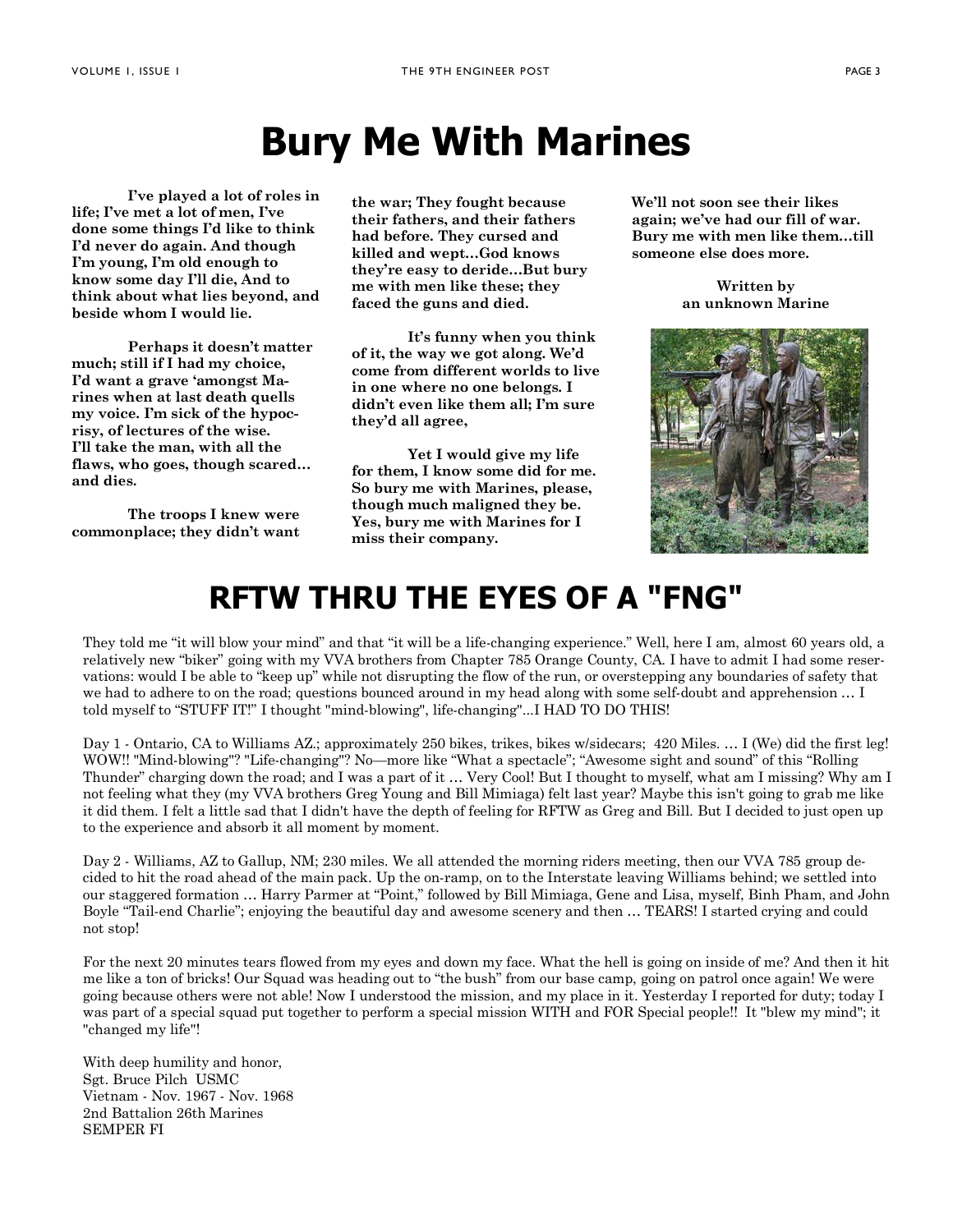# **Bury Me With Marines**

 **Iíve played a lot of roles in**  life; I've met a lot of men, I've **done some things Iíd like to think Iíd never do again. And though Iím young, Iím old enough to know some day Iíll die, And to think about what lies beyond, and beside whom I would lie.** 

 **Perhaps it doesnít matter much; still if I had my choice, Iíd want a grave ëamongst Marines when at last death quells my voice. Iím sick of the hypocrisy, of lectures of the wise. Iíll take the man, with all the**  flaws, who goes, though scared... **and dies.** 

 **The troops I knew were commonplace; they didnít want**  **the war; They fought because their fathers, and their fathers had before. They cursed and killed and wept...God knows** they're easy to deride...But bury **me with men like these; they faced the guns and died.** 

 **Itís funny when you think of it, the way we got along. Weíd come from different worlds to live in one where no one belongs. I didnít even like them all; Iím sure theyíd all agree,** 

 **Yet I would give my life for them, I know some did for me. So bury me with Marines, please, though much maligned they be. Yes, bury me with Marines for I miss their company.** 

**Weíll not soon see their likes again; weíve had our fill of war.**  Bury me with men like them...till **someone else does more.** 

> **Written by an unknown Marine**



### **RFTW THRU THE EYES OF A "FNG"**

They told me "it will blow your mind" and that "it will be a life-changing experience." Well, here I am, almost 60 years old, a relatively new "biker" going with my VVA brothers from Chapter 785 Orange County, CA. I have to admit I had some reservations: would I be able to "keep up" while not disrupting the flow of the run, or overstepping any boundaries of safety that we had to adhere to on the road; questions bounced around in my head along with some self-doubt and apprehension  $\dots$  I told myself to "STUFF IT!" I thought "mind-blowing", life-changing"...I HAD TO DO THIS!

Day 1 - Ontario, CA to Williams AZ.; approximately 250 bikes, trikes, bikes w/sidecars; 420 Miles. ... I (We) did the first leg! WOW!! "Mind-blowing"? "Life-changing"? No-more like "What a spectacle"; "Awesome sight and sound" of this "Rolling Thunder" charging down the road; and I was a part of it ... Very Cool! But I thought to myself, what am I missing? Why am I not feeling what they (my VVA brothers Greg Young and Bill Mimiaga) felt last year? Maybe this isn't going to grab me like it did them. I felt a little sad that I didn't have the depth of feeling for RFTW as Greg and Bill. But I decided to just open up to the experience and absorb it all moment by moment.

Day 2 - Williams, AZ to Gallup, NM; 230 miles. We all attended the morning riders meeting, then our VVA 785 group decided to hit the road ahead of the main pack. Up the on-ramp, on to the Interstate leaving Williams behind; we settled into our staggered formation ... Harry Parmer at "Point," followed by Bill Mimiaga, Gene and Lisa, myself, Binh Pham, and John Boyle "Tail-end Charlie"; enjoying the beautiful day and awesome scenery and then ... TEARS! I started crying and could not stop!

For the next 20 minutes tears flowed from my eyes and down my face. What the hell is going on inside of me? And then it hit me like a ton of bricks! Our Squad was heading out to "the bush" from our base camp, going on patrol once again! We were going because others were not able! Now I understood the mission, and my place in it. Yesterday I reported for duty; today I was part of a special squad put together to perform a special mission WITH and FOR Special people!! It "blew my mind"; it "changed my life"!

With deep humility and honor, Sgt. Bruce Pilch USMC Vietnam - Nov. 1967 - Nov. 1968 2nd Battalion 26th Marines SEMPER FI